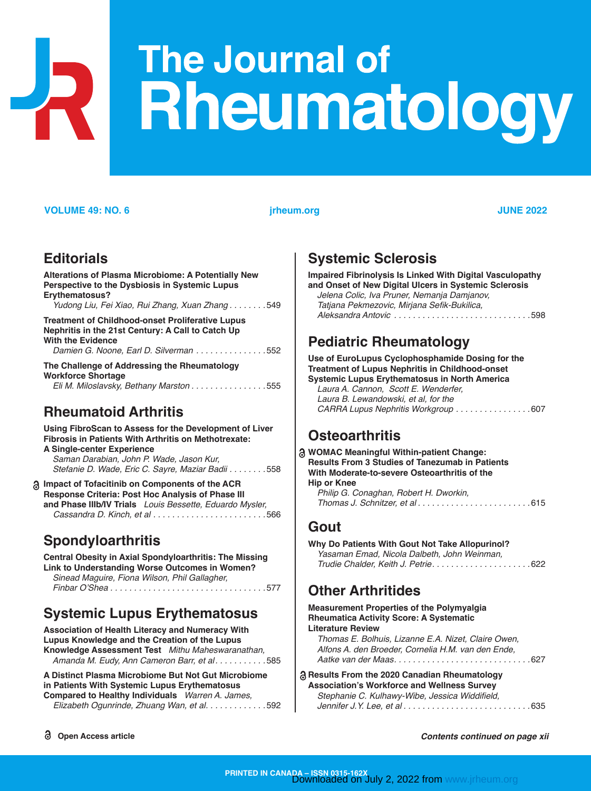# The Journal of **Rheumatology**

#### **VOLUME 49: NO. 6 jrheum.org JUNE 2022**

#### **[Editorial](#page-0-0)s**

**[Alterations of Plasma Microbiome: A Potentially New](#page-0-0)  [Perspective to the Dysbiosis in Systemic Lupus](#page-0-0)  [Erythematosus?](#page-0-0)** *Yudong Liu, Fei Xiao, Rui Zhang, Xuan Zhang . . . . . . .* [549](#page-0-0)

**[Treatment of Childhood-onset Proliferative Lupus](#page-0-0)  [Nephritis in the 21st Century: A Call to Catch Up](#page-0-0)  [With the Evidence](#page-0-0)** *Damien G. Noone, Earl D. Silverman . . . . . . . . . . . . . .* 552

**[The Challenge of Addressing the Rheumatology](#page-0-0)  [Workforce Shortage](#page-0-0)** *Eli M. Miloslavsky, Bethany Marston . . . . . . . . . . . . . . .* 555

### **Rheumatoid Arthritis**

#### **[Using FibroScan to Assess for the Development of Liver](#page-0-0)  [Fibrosis in Patients With Arthritis on Methotrexate:](#page-0-0)**

**[A Single-center Experience](#page-0-0)** *Saman Darabian, John P. Wade, Jason Kur, Stefanie D. Wade, Eric C. Sayre, Maziar Badii . . . . . . .* 558

**[Impact of Tofacitinib on Components of the ACR](#page-0-0)  [Response Criteria: Post Hoc Analysis of Phase](#page-0-0) III and Phase [IIIb/IV Trials](#page-0-0)** *Louis Bessette, Eduardo Mysler, Cassandra D. Kinch, et al . . . . . . . . . . . . . . . . . . . . . . .* 566

### **Spondyloarthritis**

**[Central Obesity in Axial Spondyloarthritis: The Missing](#page-0-0)  [Link to Understanding Worse Outcomes in Women?](#page-0-0)** *Sinead Maguire, Fiona Wilson, Phil Gallagher,*  Finbar O'Shea *. . . . . . . . . . . . . . . . . . . . . . . . . . . . . . . .* 577

# **Systemic Lupus Erythematosus**

**[Association of Health Literacy and Numeracy With](#page-0-0)  [Lupus Knowledge and the Creation of the Lupus](#page-0-0)  [Knowledge Assessment Test](#page-0-0)** *Mithu Maheswaranathan, Amanda M. Eudy, Ann Cameron Barr, et al . . . . . . . . . .* 585

**[A Distinct Plasma Microbiome But Not Gut Microbiome](#page-0-0)  [in Patients With Systemic Lupus Erythematosus](#page-0-0)  [Compared to Healthy Individuals](#page-0-0)** *Warren A. James,* 

 *Elizabeth Ogunrinde, Zhuang Wan, et al . . . . . . . . . . . .* 592

#### **Systemic Sclerosis**

**[Impaired Fibrinolysis Is Linked With Digital Vasculopathy](#page-0-0)  [and Onset of New Digital Ulcers in Systemic Sclerosis](#page-0-0)**  *Jelena Colic, Iva Pruner, Nemanja Damjanov,* 

| Tatjana Pekmezovic, Mirjana Sefik-Bukilica, |
|---------------------------------------------|
|                                             |

## **Pediatric Rheumatology**

**[Use of EuroLupus Cyclophosphamide Dosing for the](#page-0-0)  [Treatment of Lupus Nephritis in Childhood-onset](#page-0-0)  [Systemic Lupus Erythematosus in North America](#page-0-0)** *Laura A. Cannon, Scott E. Wenderfer, Laura B. Lewandowski, et al, for the CARRA Lupus Nephritis Workgroup . . . . . . . . . . . . . . .* [607](#page-0-0)

# **Osteoarthritis**

| a WOMAC Meaningful Within-patient Change:              |  |
|--------------------------------------------------------|--|
| <b>Results From 3 Studies of Tanezumab in Patients</b> |  |
| With Moderate-to-severe Osteoarthritis of the          |  |
| Hip or Knee                                            |  |
| Philip G. Conaghan, Robert H. Dworkin,                 |  |
| Thomas J. Schnitzer, et al615                          |  |

#### **Gout**

| Why Do Patients With Gout Not Take Allopurinol? |  |
|-------------------------------------------------|--|
| Yasaman Emad, Nicola Dalbeth, John Weinman,     |  |
|                                                 |  |

### **Other Arthritides**

| <b>Measurement Properties of the Polymyalgia</b>    |
|-----------------------------------------------------|
| <b>Rheumatica Activity Score: A Systematic</b>      |
| <b>Literature Review</b>                            |
| Thomas E. Bolhuis, Lizanne E.A. Nizet, Claire Owen, |
| Alfons A. den Broeder, Cornelia H.M. van den Ende,  |
|                                                     |
| a Results From the 2020 Canadian Rheumatology       |
| <b>Association's Workforce and Wellness Survey</b>  |
| Stephanie C. Kulhawy-Wibe, Jessica Widdifield,      |
|                                                     |

<span id="page-0-0"></span>**Open Access article** *Contents continued on page xii*